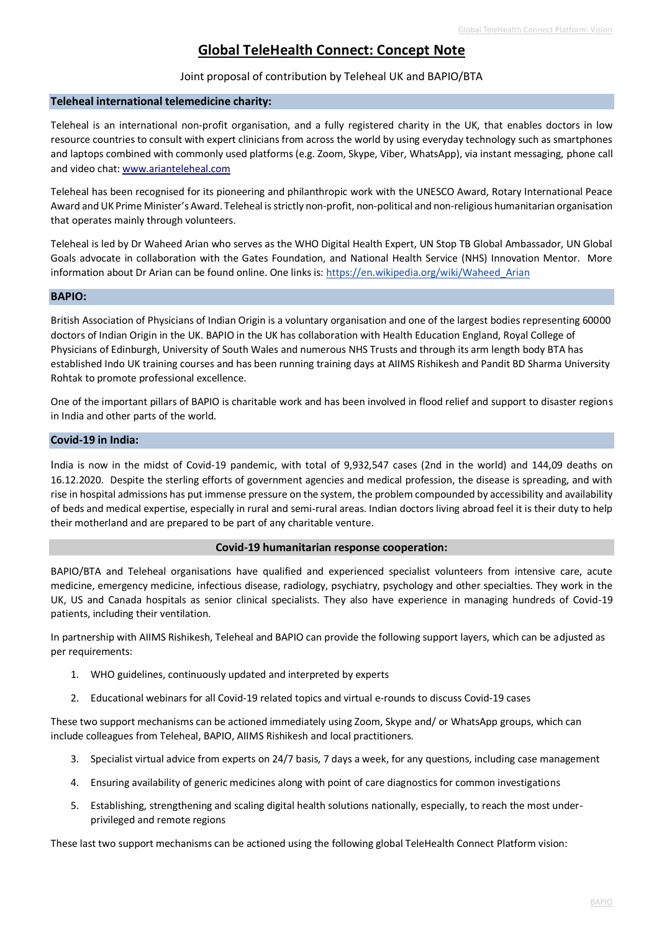# **Global TeleHealth Connect: Concept Note**

## Joint proposal of contribution by Teleheal UK and BAPIO/BTA

### **Teleheal international telemedicine charity:**

Teleheal is an international non-profit organisation, and a fully registered charity in the UK, that enables doctors in low resource countries to consult with expert clinicians from across the world by using everyday technology such as smartphones and laptops combined with commonly used platforms (e.g. Zoom, Skype, Viber, WhatsApp), via instant messaging, phone call and video chat[: www.arianteleheal.com](http://www.arianteleheal.com/)

Teleheal has been recognised for its pioneering and philanthropic work with the UNESCO Award, Rotary International Peace Award and UK Prime Minister's Award. Teleheal is strictly non-profit, non-political and non-religious humanitarian organisation that operates mainly through volunteers.

Teleheal is led by Dr Waheed Arian who serves as the WHO Digital Health Expert, UN Stop TB Global Ambassador, UN Global Goals advocate in collaboration with the Gates Foundation, and National Health Service (NHS) Innovation Mentor. More information about Dr Arian can be found online. One links is: https://en.wikipedia.org/wiki/Waheed Arian

### **BAPIO:**

British Association of Physicians of Indian Origin is a voluntary organisation and one of the largest bodies representing 60000 doctors of Indian Origin in the UK. BAPIO in the UK has collaboration with Health Education England, Royal College of Physicians of Edinburgh, University of South Wales and numerous NHS Trusts and through its arm length body BTA has established Indo UK training courses and has been running training days at AIIMS Rishikesh and Pandit BD Sharma University Rohtak to promote professional excellence.

One of the important pillars of BAPIO is charitable work and has been involved in flood relief and support to disaster regions in India and other parts of the world.

#### **Covid-19 in India:**

India is now in the midst of Covid-19 pandemic, with total of 9,932,547 cases (2nd in the world) and 144,09 deaths on 16.12.2020. Despite the sterling efforts of government agencies and medical profession, the disease is spreading, and with rise in hospital admissions has put immense pressure on the system, the problem compounded by accessibility and availability of beds and medical expertise, especially in rural and semi-rural areas. Indian doctors living abroad feel it is their duty to help their motherland and are prepared to be part of any charitable venture.

### **Covid-19 humanitarian response cooperation:**

BAPIO/BTA and Teleheal organisations have qualified and experienced specialist volunteers from intensive care, acute medicine, emergency medicine, infectious disease, radiology, psychiatry, psychology and other specialties. They work in the UK, US and Canada hospitals as senior clinical specialists. They also have experience in managing hundreds of Covid-19 patients, including their ventilation.

In partnership with AIIMS Rishikesh, Teleheal and BAPIO can provide the following support layers, which can be adjusted as per requirements:

- 1. WHO guidelines, continuously updated and interpreted by experts
- 2. Educational webinars for all Covid-19 related topics and virtual e-rounds to discuss Covid-19 cases

These two support mechanisms can be actioned immediately using Zoom, Skype and/ or WhatsApp groups, which can include colleagues from Teleheal, BAPIO, AIIMS Rishikesh and local practitioners.

- 3. Specialist virtual advice from experts on 24/7 basis, 7 days a week, for any questions, including case management
- 4. Ensuring availability of generic medicines along with point of care diagnostics for common investigations
- 5. Establishing, strengthening and scaling digital health solutions nationally, especially, to reach the most underprivileged and remote regions

These last two support mechanisms can be actioned using the following global TeleHealth Connect Platform vision: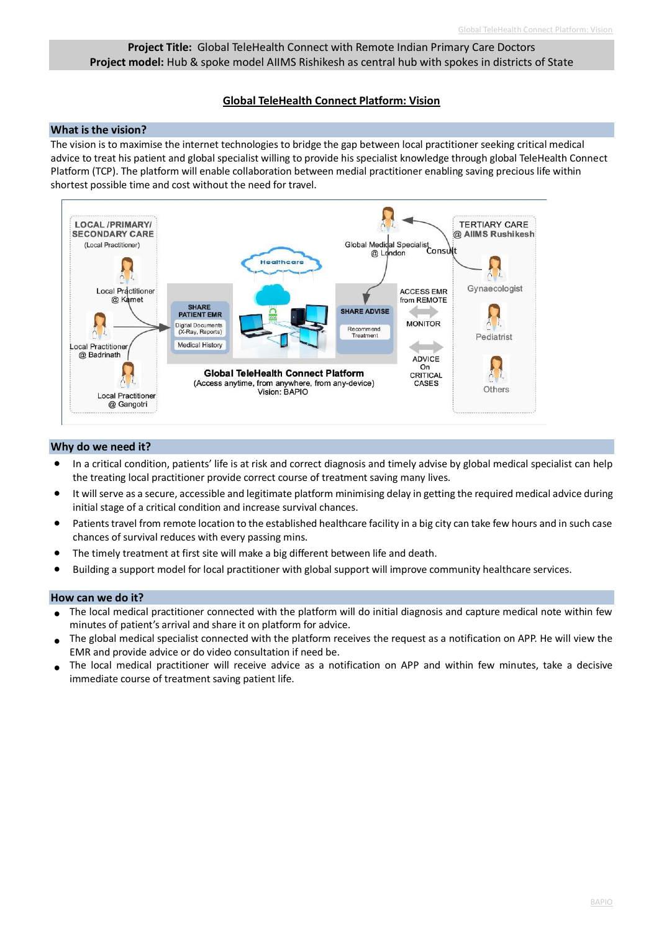# **Project Title:** Global TeleHealth Connect with Remote Indian Primary Care Doctors **Project model:** Hub & spoke model AIIMS Rishikesh as central hub with spokes in districts of State

# **Global TeleHealth Connect Platform: Vision**

# **What is the vision?**

The vision is to maximise the internet technologies to bridge the gap between local practitioner seeking critical medical advice to treat his patient and global specialist willing to provide his specialist knowledge through global TeleHealth Connect Platform (TCP). The platform will enable collaboration between medial practitioner enabling saving precious life within shortest possible time and cost without the need for travel.



# **Why do we need it?**

- In a critical condition, patients' life is at risk and correct diagnosis and timely advise by global medical specialist can help the treating local practitioner provide correct course of treatment saving many lives.
- It will serve as a secure, accessible and legitimate platform minimising delay in getting the required medical advice during initial stage of a critical condition and increase survival chances.
- Patients travel from remote location to the established healthcare facility in a big city can take few hours and in such case chances of survival reduces with every passing mins.
- The timely treatment at first site will make a big different between life and death.
- Building a support model for local practitioner with global support will improve community healthcare services.

# **How can we do it?**

- The local medical practitioner connected with the platform will do initial diagnosis and capture medical note within few minutes of patient's arrival and share it on platform for advice.
- The global medical specialist connected with the platform receives the request as a notification on APP. He will view the EMR and provide advice or do video consultation if need be.
- The local medical practitioner will receive advice as a notification on APP and within few minutes, take a decisive immediate course of treatment saving patient life.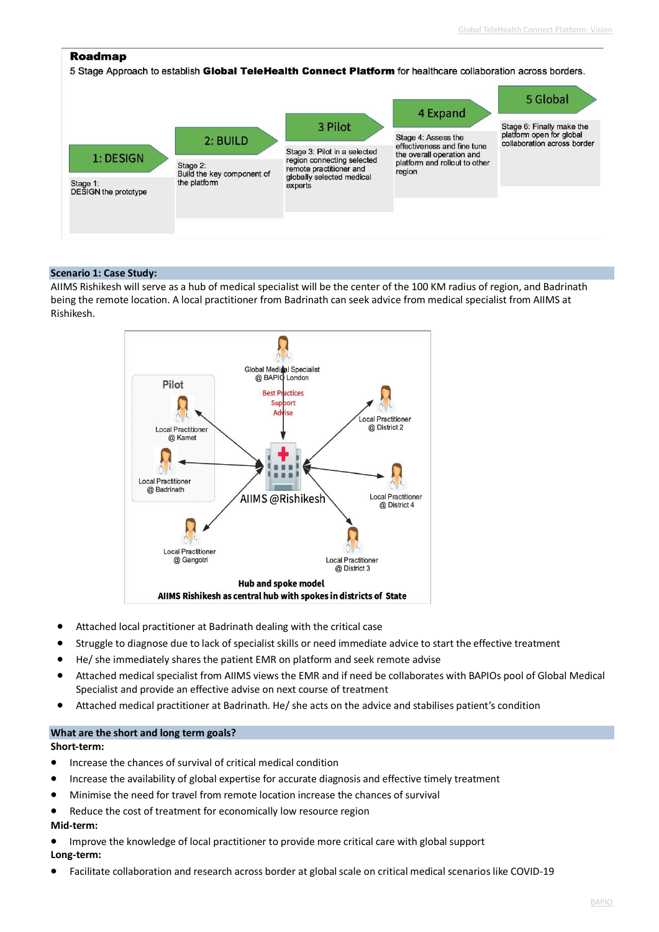### **Roadmap**

5 Stage Approach to establish Global TeleHealth Connect Platform for healthcare collaboration across borders. 5 Global 4 Expand Stage 6: Finally make the<br>platform open for global 3 Pilot Stage 4: Assess the 2: BUILD collaboration across border effectiveness and fine tune Stage 3: Pilot in a selected the overall operation and 1: DESIGN region connecting selected platform and rollout to other Stage 2:<br>Build the key component of remote practitioner and region globally selected medical the platform Stage 1:<br>DESIGN the prototype experts

### **Scenario 1: Case Study:**

AIIMS Rishikesh will serve as a hub of medical specialist will be the center of the 100 KM radius of region, and Badrinath being the remote location. A local practitioner from Badrinath can seek advice from medical specialist from AIIMS at Rishikesh.



- Attached local practitioner at Badrinath dealing with the critical case
- Struggle to diagnose due to lack of specialist skills or need immediate advice to start the effective treatment
- He/ she immediately shares the patient EMR on platform and seek remote advise
- Attached medical specialist from AIIMS views the EMR and if need be collaborates with BAPIOs pool of Global Medical Specialist and provide an effective advise on next course of treatment
- Attached medical practitioner at Badrinath. He/ she acts on the advice and stabilises patient's condition

### **What are the short and long term goals?**

#### **Short-term:**

- Increase the chances of survival of critical medical condition
- Increase the availability of global expertise for accurate diagnosis and effective timely treatment
- Minimise the need for travel from remote location increase the chances of survival
- Reduce the cost of treatment for economically low resource region

### **Mid-term:**

- Improve the knowledge of local practitioner to provide more critical care with global support **Long-term:**
- Facilitate collaboration and research across border at global scale on critical medical scenarios like COVID-19